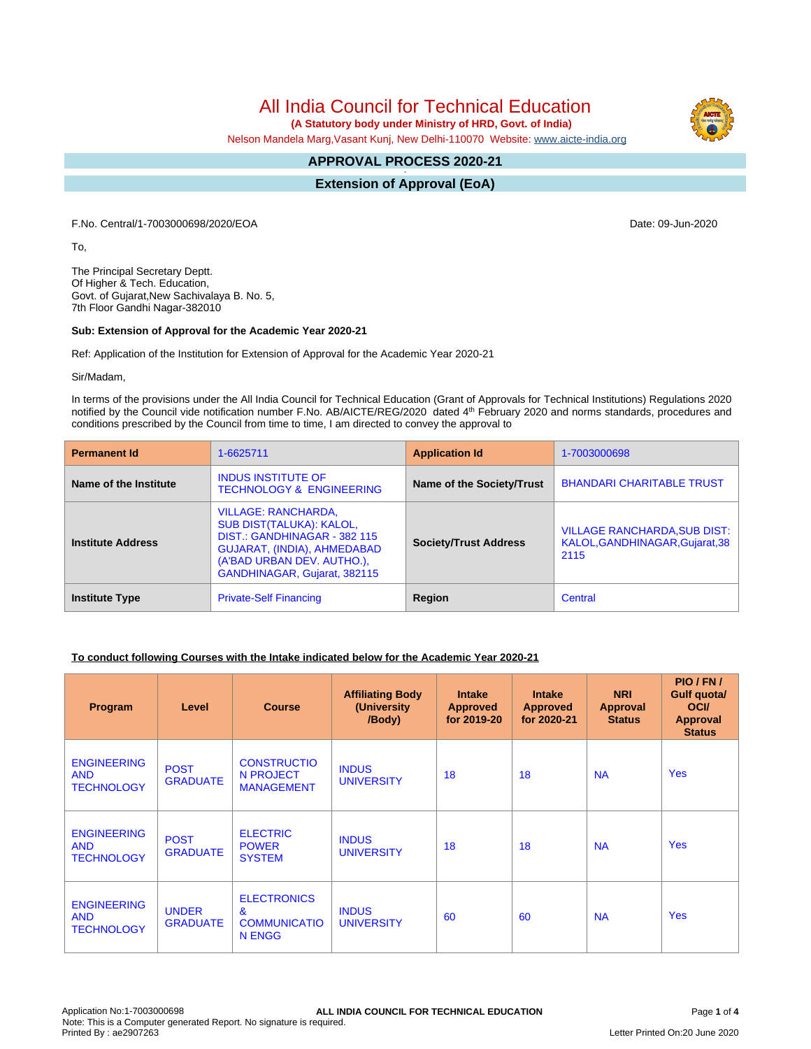All India Council for Technical Education

 **(A Statutory body under Ministry of HRD, Govt. of India)**

Nelson Mandela Marg,Vasant Kunj, New Delhi-110070 Website: [www.aicte-india.org](http://www.aicte-india.org)

# **APPROVAL PROCESS 2020-21**

**- Extension of Approval (EoA)**

F.No. Central/1-7003000698/2020/EOA Date: 09-Jun-2020

To,

The Principal Secretary Deptt. Of Higher & Tech. Education, Govt. of Gujarat,New Sachivalaya B. No. 5, 7th Floor Gandhi Nagar-382010

#### **Sub: Extension of Approval for the Academic Year 2020-21**

Ref: Application of the Institution for Extension of Approval for the Academic Year 2020-21

Sir/Madam,

In terms of the provisions under the All India Council for Technical Education (Grant of Approvals for Technical Institutions) Regulations 2020 notified by the Council vide notification number F.No. AB/AICTE/REG/2020 dated 4<sup>th</sup> February 2020 and norms standards, procedures and conditions prescribed by the Council from time to time, I am directed to convey the approval to

| <b>Permanent Id</b>      | 1-6625711                                                                                                                                                                    | <b>Application Id</b>        | 1-7003000698                                                                   |
|--------------------------|------------------------------------------------------------------------------------------------------------------------------------------------------------------------------|------------------------------|--------------------------------------------------------------------------------|
| Name of the Institute    | <b>INDUS INSTITUTE OF</b><br><b>TECHNOLOGY &amp; ENGINEERING</b>                                                                                                             | Name of the Society/Trust    | <b>BHANDARI CHARITABLE TRUST</b>                                               |
| <b>Institute Address</b> | VILLAGE: RANCHARDA,<br>SUB DIST(TALUKA): KALOL,<br>DIST.: GANDHINAGAR - 382 115<br>GUJARAT, (INDIA), AHMEDABAD<br>(A'BAD URBAN DEV. AUTHO.),<br>GANDHINAGAR, Gujarat, 382115 | <b>Society/Trust Address</b> | <b>VILLAGE RANCHARDA, SUB DIST:</b><br>KALOL, GANDHINAGAR, Gujarat, 38<br>2115 |
| <b>Institute Type</b>    | <b>Private-Self Financing</b>                                                                                                                                                | Region                       | Central                                                                        |

### **To conduct following Courses with the Intake indicated below for the Academic Year 2020-21**

| Program                                               | Level                           | <b>Course</b>                                                       | <b>Affiliating Body</b><br>(University)<br>/Body) | <b>Intake</b><br><b>Approved</b><br>for 2019-20 | <b>Intake</b><br><b>Approved</b><br>for 2020-21 | <b>NRI</b><br>Approval<br><b>Status</b> | PIO/FN/<br>Gulf quota/<br><b>OCI</b><br><b>Approval</b><br><b>Status</b> |
|-------------------------------------------------------|---------------------------------|---------------------------------------------------------------------|---------------------------------------------------|-------------------------------------------------|-------------------------------------------------|-----------------------------------------|--------------------------------------------------------------------------|
| <b>ENGINEERING</b><br><b>AND</b><br><b>TECHNOLOGY</b> | <b>POST</b><br><b>GRADUATE</b>  | <b>CONSTRUCTIO</b><br>N PROJECT<br><b>MANAGEMENT</b>                | <b>INDUS</b><br><b>UNIVERSITY</b>                 | 18                                              | 18                                              | <b>NA</b>                               | <b>Yes</b>                                                               |
| <b>ENGINEERING</b><br><b>AND</b><br><b>TECHNOLOGY</b> | <b>POST</b><br><b>GRADUATE</b>  | <b>ELECTRIC</b><br><b>POWER</b><br><b>SYSTEM</b>                    | <b>INDUS</b><br><b>UNIVERSITY</b>                 | 18                                              | 18                                              | <b>NA</b>                               | <b>Yes</b>                                                               |
| <b>ENGINEERING</b><br><b>AND</b><br><b>TECHNOLOGY</b> | <b>UNDER</b><br><b>GRADUATE</b> | <b>ELECTRONICS</b><br>$\mathbf{r}$<br><b>COMMUNICATIO</b><br>N ENGG | <b>INDUS</b><br><b>UNIVERSITY</b>                 | 60                                              | 60                                              | <b>NA</b>                               | <b>Yes</b>                                                               |

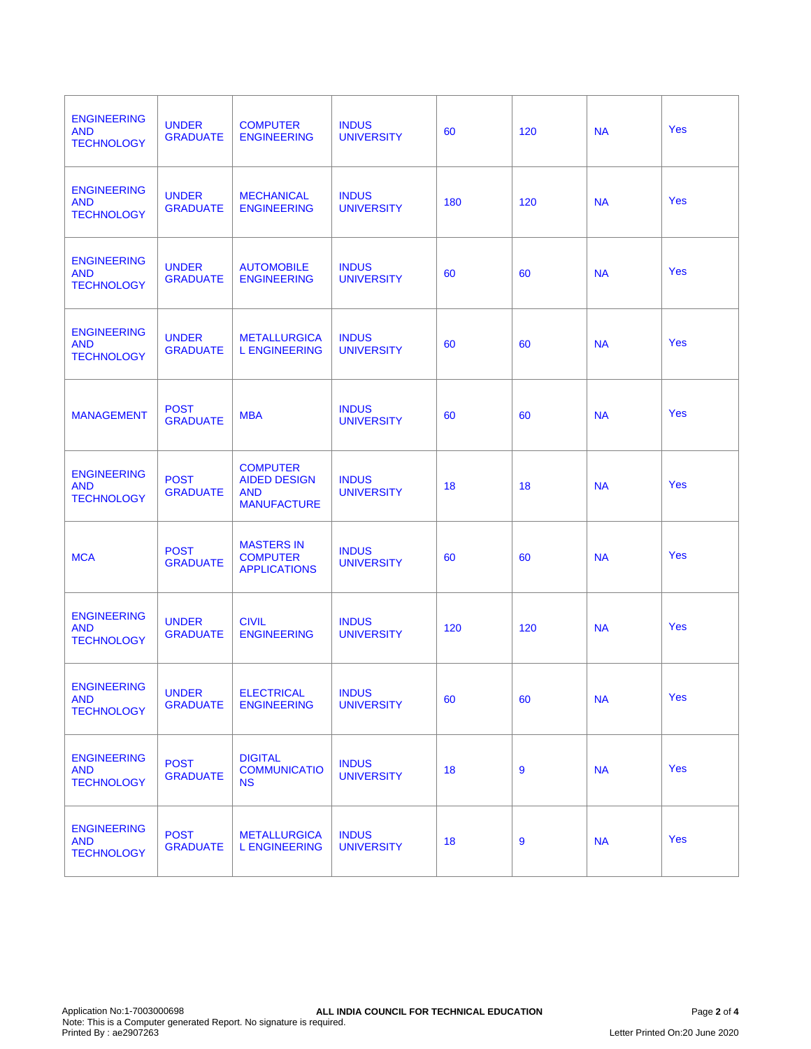| <b>ENGINEERING</b><br><b>AND</b><br><b>TECHNOLOGY</b> | <b>UNDER</b><br><b>GRADUATE</b> | <b>COMPUTER</b><br><b>ENGINEERING</b>                                      | <b>INDUS</b><br><b>UNIVERSITY</b> | 60  | 120 | <b>NA</b> | <b>Yes</b> |
|-------------------------------------------------------|---------------------------------|----------------------------------------------------------------------------|-----------------------------------|-----|-----|-----------|------------|
| <b>ENGINEERING</b><br><b>AND</b><br><b>TECHNOLOGY</b> | <b>UNDER</b><br><b>GRADUATE</b> | <b>MECHANICAL</b><br><b>ENGINEERING</b>                                    | <b>INDUS</b><br><b>UNIVERSITY</b> | 180 | 120 | <b>NA</b> | Yes        |
| <b>ENGINEERING</b><br><b>AND</b><br><b>TECHNOLOGY</b> | <b>UNDER</b><br><b>GRADUATE</b> | <b>AUTOMOBILE</b><br><b>ENGINEERING</b>                                    | <b>INDUS</b><br><b>UNIVERSITY</b> | 60  | 60  | <b>NA</b> | Yes        |
| <b>ENGINEERING</b><br><b>AND</b><br><b>TECHNOLOGY</b> | <b>UNDER</b><br><b>GRADUATE</b> | <b>METALLURGICA</b><br><b>L ENGINEERING</b>                                | <b>INDUS</b><br><b>UNIVERSITY</b> | 60  | 60  | <b>NA</b> | <b>Yes</b> |
| <b>MANAGEMENT</b>                                     | <b>POST</b><br><b>GRADUATE</b>  | <b>MBA</b>                                                                 | <b>INDUS</b><br><b>UNIVERSITY</b> | 60  | 60  | <b>NA</b> | <b>Yes</b> |
| <b>ENGINEERING</b><br><b>AND</b><br><b>TECHNOLOGY</b> | <b>POST</b><br><b>GRADUATE</b>  | <b>COMPUTER</b><br><b>AIDED DESIGN</b><br><b>AND</b><br><b>MANUFACTURE</b> | <b>INDUS</b><br><b>UNIVERSITY</b> | 18  | 18  | <b>NA</b> | <b>Yes</b> |
| <b>MCA</b>                                            | <b>POST</b><br><b>GRADUATE</b>  | <b>MASTERS IN</b><br><b>COMPUTER</b><br><b>APPLICATIONS</b>                | <b>INDUS</b><br><b>UNIVERSITY</b> | 60  | 60  | <b>NA</b> | <b>Yes</b> |
| <b>ENGINEERING</b><br><b>AND</b><br><b>TECHNOLOGY</b> | <b>UNDER</b><br><b>GRADUATE</b> | <b>CIVIL</b><br><b>ENGINEERING</b>                                         | <b>INDUS</b><br><b>UNIVERSITY</b> | 120 | 120 | <b>NA</b> | <b>Yes</b> |
| <b>ENGINEERING</b><br><b>AND</b><br><b>TECHNOLOGY</b> | <b>UNDER</b><br><b>GRADUATE</b> | <b>ELECTRICAL</b><br><b>ENGINEERING</b>                                    | <b>INDUS</b><br><b>UNIVERSITY</b> | 60  | 60  | <b>NA</b> | <b>Yes</b> |
| <b>ENGINEERING</b><br><b>AND</b><br><b>TECHNOLOGY</b> | <b>POST</b><br><b>GRADUATE</b>  | <b>DIGITAL</b><br><b>COMMUNICATIO</b><br><b>NS</b>                         | <b>INDUS</b><br><b>UNIVERSITY</b> | 18  | 9   | <b>NA</b> | Yes        |
| <b>ENGINEERING</b><br><b>AND</b><br><b>TECHNOLOGY</b> | <b>POST</b><br><b>GRADUATE</b>  | <b>METALLURGICA</b><br><b>L ENGINEERING</b>                                | <b>INDUS</b><br><b>UNIVERSITY</b> | 18  | 9   | <b>NA</b> | <b>Yes</b> |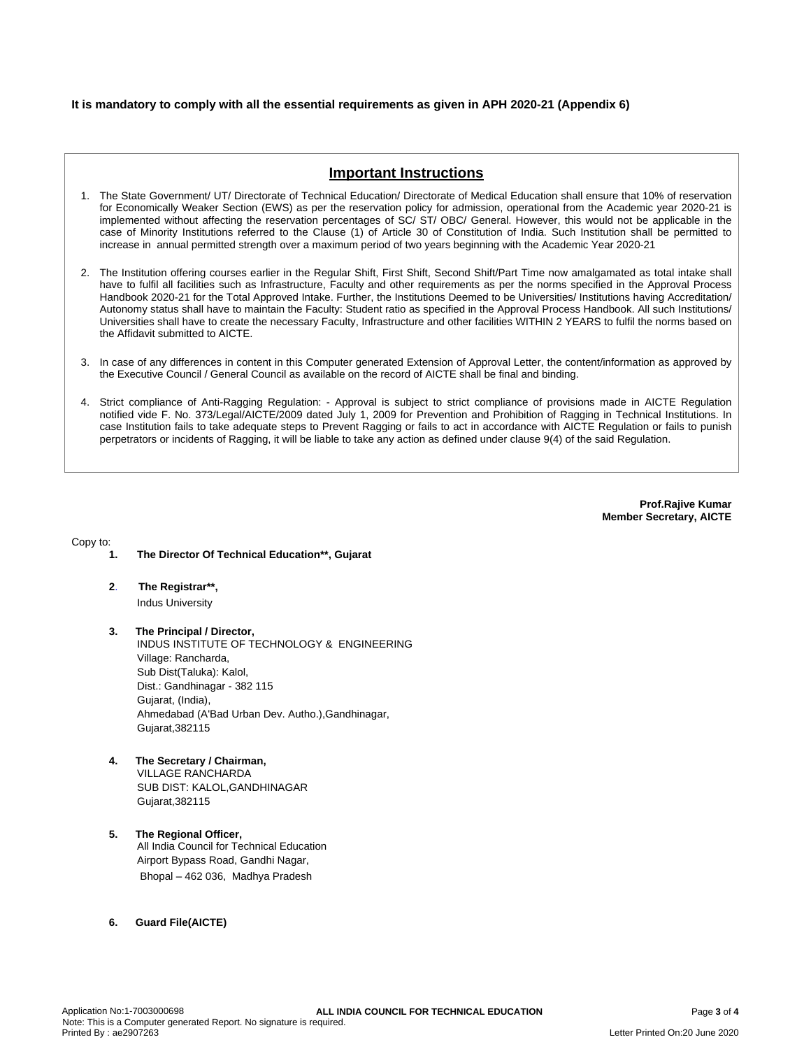### **It is mandatory to comply with all the essential requirements as given in APH 2020-21 (Appendix 6)**

## **Important Instructions**

- 1. The State Government/ UT/ Directorate of Technical Education/ Directorate of Medical Education shall ensure that 10% of reservation for Economically Weaker Section (EWS) as per the reservation policy for admission, operational from the Academic year 2020-21 is implemented without affecting the reservation percentages of SC/ ST/ OBC/ General. However, this would not be applicable in the case of Minority Institutions referred to the Clause (1) of Article 30 of Constitution of India. Such Institution shall be permitted to increase in annual permitted strength over a maximum period of two years beginning with the Academic Year 2020-21
- 2. The Institution offering courses earlier in the Regular Shift, First Shift, Second Shift/Part Time now amalgamated as total intake shall have to fulfil all facilities such as Infrastructure, Faculty and other requirements as per the norms specified in the Approval Process Handbook 2020-21 for the Total Approved Intake. Further, the Institutions Deemed to be Universities/ Institutions having Accreditation/ Autonomy status shall have to maintain the Faculty: Student ratio as specified in the Approval Process Handbook. All such Institutions/ Universities shall have to create the necessary Faculty, Infrastructure and other facilities WITHIN 2 YEARS to fulfil the norms based on the Affidavit submitted to AICTE.
- 3. In case of any differences in content in this Computer generated Extension of Approval Letter, the content/information as approved by the Executive Council / General Council as available on the record of AICTE shall be final and binding.
- 4. Strict compliance of Anti-Ragging Regulation: Approval is subject to strict compliance of provisions made in AICTE Regulation notified vide F. No. 373/Legal/AICTE/2009 dated July 1, 2009 for Prevention and Prohibition of Ragging in Technical Institutions. In case Institution fails to take adequate steps to Prevent Ragging or fails to act in accordance with AICTE Regulation or fails to punish perpetrators or incidents of Ragging, it will be liable to take any action as defined under clause 9(4) of the said Regulation.

**Prof.Rajive Kumar Member Secretary, AICTE**

Copy to:

- **1. The Director Of Technical Education\*\*, Gujarat**
- **2**. **The Registrar\*\*,** Indus University

**3. The Principal / Director,** INDUS INSTITUTE OF TECHNOLOGY & ENGINEERING Village: Rancharda, Sub Dist(Taluka): Kalol, Dist.: Gandhinagar - 382 115 Gujarat, (India), Ahmedabad (A'Bad Urban Dev. Autho.),Gandhinagar, Gujarat,382115

- **4. The Secretary / Chairman,** VILLAGE RANCHARDA SUB DIST: KALOL,GANDHINAGAR Gujarat,382115
- **5. The Regional Officer,** All India Council for Technical Education Airport Bypass Road, Gandhi Nagar, Bhopal – 462 036, Madhya Pradesh
- **6. Guard File(AICTE)**